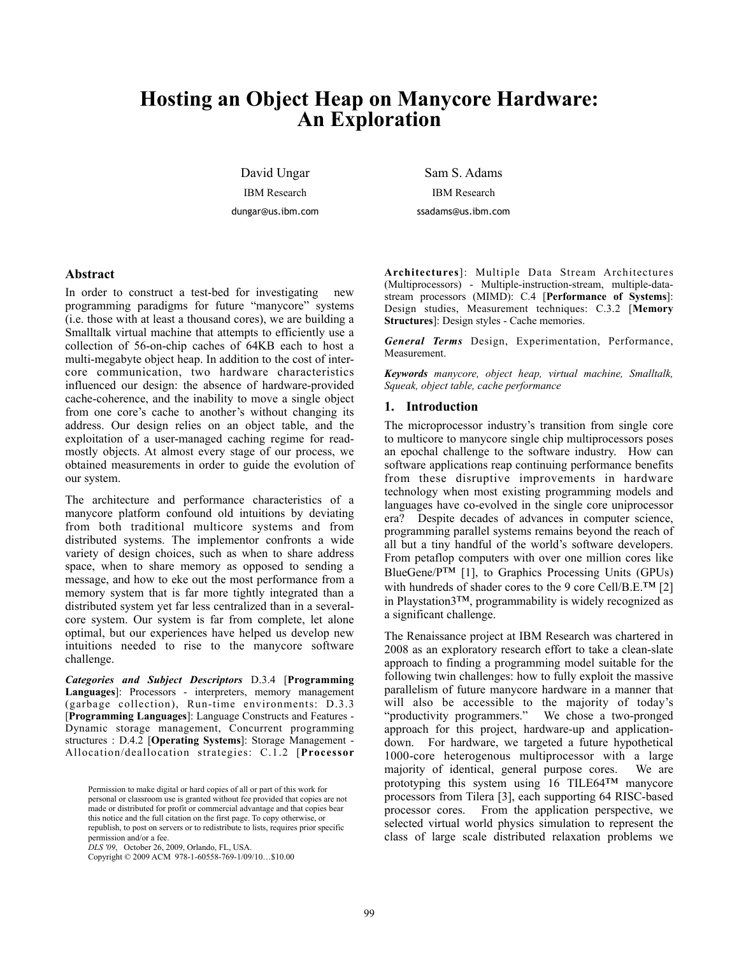# **Hosting an Object Heap on Manycore Hardware: An Exploration**

David Ungar

IBM Research dungar@us.ibm.com

Sam S. Adams IBM Research ssadams@us.ibm.com

# **Abstract**

In order to construct a test-bed for investigating new programming paradigms for future "manycore" systems (i.e. those with at least a thousand cores), we are building a Smalltalk virtual machine that attempts to efficiently use a collection of 56-on-chip caches of 64KB each to host a multi-megabyte object heap. In addition to the cost of intercore communication, two hardware characteristics influenced our design: the absence of hardware-provided cache-coherence, and the inability to move a single object from one core's cache to another's without changing its address. Our design relies on an object table, and the exploitation of a user-managed caching regime for readmostly objects. At almost every stage of our process, we obtained measurements in order to guide the evolution of our system.

The architecture and performance characteristics of a manycore platform confound old intuitions by deviating from both traditional multicore systems and from distributed systems. The implementor confronts a wide variety of design choices, such as when to share address space, when to share memory as opposed to sending a message, and how to eke out the most performance from a memory system that is far more tightly integrated than a distributed system yet far less centralized than in a severalcore system. Our system is far from complete, let alone optimal, but our experiences have helped us develop new intuitions needed to rise to the manycore software challenge.

*Categories and Subject Descriptors* D.3.4 [**Programming Languages**]: Processors - interpreters, memory management (garbage collection), Run-time environments: D.3.3 [**Programming Languages**]: Language Constructs and Features - Dynamic storage management, Concurrent programming structures : D.4.2 [**Operating Systems**]: Storage Management - Allocation/deallocation strategies: C.1.2 [**Processor** 

**Architectures**]: Multiple Data Stream Architectures (Multiprocessors) - Multiple-instruction-stream, multiple-datastream processors (MIMD): C.4 [**Performance of Systems**]: Design studies, Measurement techniques: C.3.2 [**Memory Structures**]: Design styles - Cache memories.

*General Terms* Design, Experimentation, Performance, Measurement.

*Keywords manycore, object heap, virtual machine, Smalltalk, Squeak, object table, cache performance*

### **1. Introduction**

The microprocessor industry's transition from single core to multicore to manycore single chip multiprocessors poses an epochal challenge to the software industry. How can software applications reap continuing performance benefits from these disruptive improvements in hardware technology when most existing programming models and languages have co-evolved in the single core uniprocessor era? Despite decades of advances in computer science, programming parallel systems remains beyond the reach of all but a tiny handful of the world's software developers. From petaflop computers with over one million cores like BlueGene/ $P^{TM}$  [1], to Graphics Processing Units (GPUs) with hundreds of shader cores to the 9 core Cell/B.E.<sup>TM</sup> [2] in Playstation3™, programmability is widely recognized as a significant challenge.

The Renaissance project at IBM Research was chartered in 2008 as an exploratory research effort to take a clean-slate approach to finding a programming model suitable for the following twin challenges: how to fully exploit the massive parallelism of future manycore hardware in a manner that will also be accessible to the majority of today's "productivity programmers." We chose a two-pronged approach for this project, hardware-up and applicationdown. For hardware, we targeted a future hypothetical 1000-core heterogenous multiprocessor with a large majority of identical, general purpose cores. We are prototyping this system using 16 TILE64™ manycore processors from Tilera [3], each supporting 64 RISC-based processor cores. From the application perspective, we selected virtual world physics simulation to represent the class of large scale distributed relaxation problems we

Permission to make digital or hard copies of all or part of this work for personal or classroom use is granted without fee provided that copies are not made or distributed for profit or commercial advantage and that copies bear this notice and the full citation on the first page. To copy otherwise, or republish, to post on servers or to redistribute to lists, requires prior specific permission and/or a fee.

*DLS '09*, October 26, 2009, Orlando, FL, USA.

Copyright © 2009 ACM 978-1-60558-769-1/09/10…\$10.00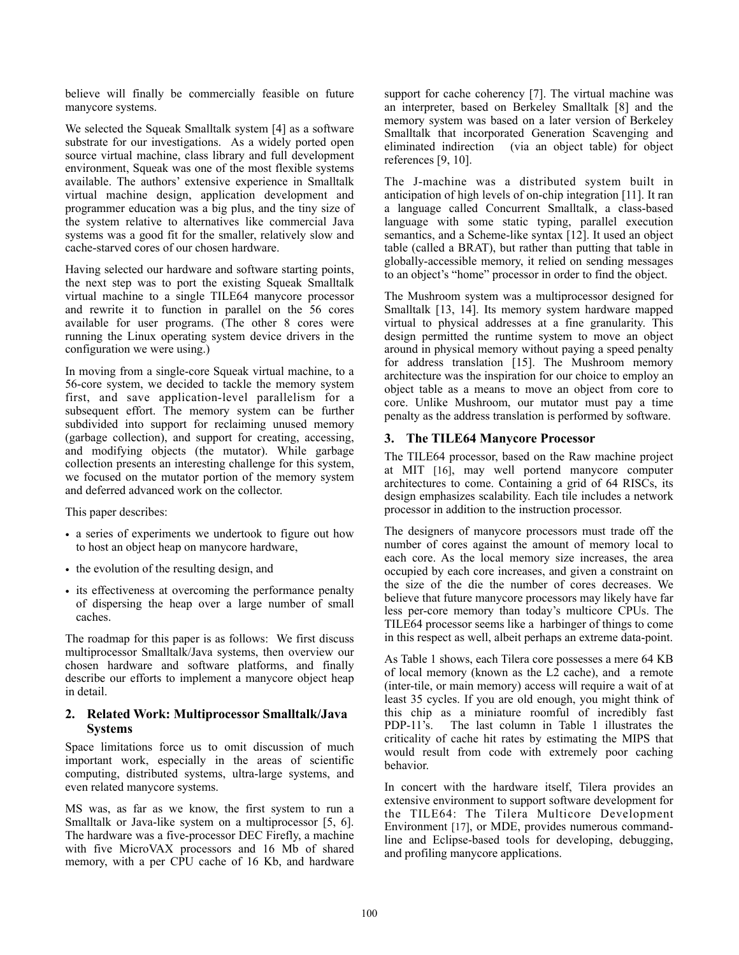believe will finally be commercially feasible on future manycore systems.

We selected the Squeak Smalltalk system [4] as a software substrate for our investigations. As a widely ported open source virtual machine, class library and full development environment, Squeak was one of the most flexible systems available. The authors' extensive experience in Smalltalk virtual machine design, application development and programmer education was a big plus, and the tiny size of the system relative to alternatives like commercial Java systems was a good fit for the smaller, relatively slow and cache-starved cores of our chosen hardware.

Having selected our hardware and software starting points, the next step was to port the existing Squeak Smalltalk virtual machine to a single TILE64 manycore processor and rewrite it to function in parallel on the 56 cores available for user programs. (The other 8 cores were running the Linux operating system device drivers in the configuration we were using.)

In moving from a single-core Squeak virtual machine, to a 56-core system, we decided to tackle the memory system first, and save application-level parallelism for a subsequent effort. The memory system can be further subdivided into support for reclaiming unused memory (garbage collection), and support for creating, accessing, and modifying objects (the mutator). While garbage collection presents an interesting challenge for this system, we focused on the mutator portion of the memory system and deferred advanced work on the collector.

This paper describes:

- a series of experiments we undertook to figure out how to host an object heap on manycore hardware,
- the evolution of the resulting design, and
- its effectiveness at overcoming the performance penalty of dispersing the heap over a large number of small caches.

The roadmap for this paper is as follows: We first discuss multiprocessor Smalltalk/Java systems, then overview our chosen hardware and software platforms, and finally describe our efforts to implement a manycore object heap in detail.

# **2. Related Work: Multiprocessor Smalltalk/Java Systems**

Space limitations force us to omit discussion of much important work, especially in the areas of scientific computing, distributed systems, ultra-large systems, and even related manycore systems.

MS was, as far as we know, the first system to run a Smalltalk or Java-like system on a multiprocessor [5, 6]. The hardware was a five-processor DEC Firefly, a machine with five MicroVAX processors and 16 Mb of shared memory, with a per CPU cache of 16 Kb, and hardware support for cache coherency [7]. The virtual machine was an interpreter, based on Berkeley Smalltalk [8] and the memory system was based on a later version of Berkeley Smalltalk that incorporated Generation Scavenging and eliminated indirection (via an object table) for object references [9, 10].

The J-machine was a distributed system built in anticipation of high levels of on-chip integration [11]. It ran a language called Concurrent Smalltalk, a class-based language with some static typing, parallel execution semantics, and a Scheme-like syntax [12]. It used an object table (called a BRAT), but rather than putting that table in globally-accessible memory, it relied on sending messages to an object's "home" processor in order to find the object.

The Mushroom system was a multiprocessor designed for Smalltalk [13, 14]. Its memory system hardware mapped virtual to physical addresses at a fine granularity. This design permitted the runtime system to move an object around in physical memory without paying a speed penalty for address translation [15]. The Mushroom memory architecture was the inspiration for our choice to employ an object table as a means to move an object from core to core. Unlike Mushroom, our mutator must pay a time penalty as the address translation is performed by software.

# **3. The TILE64 Manycore Processor**

The TILE64 processor, based on the Raw machine project at MIT [16], may well portend manycore computer architectures to come. Containing a grid of 64 RISCs, its design emphasizes scalability. Each tile includes a network processor in addition to the instruction processor.

The designers of manycore processors must trade off the number of cores against the amount of memory local to each core. As the local memory size increases, the area occupied by each core increases, and given a constraint on the size of the die the number of cores decreases. We believe that future manycore processors may likely have far less per-core memory than today's multicore CPUs. The TILE64 processor seems like a harbinger of things to come in this respect as well, albeit perhaps an extreme data-point.

As Table 1 shows, each Tilera core possesses a mere 64 KB of local memory (known as the L2 cache), and a remote (inter-tile, or main memory) access will require a wait of at least 35 cycles. If you are old enough, you might think of this chip as a miniature roomful of incredibly fast PDP-11's. The last column in Table 1 illustrates the criticality of cache hit rates by estimating the MIPS that would result from code with extremely poor caching behavior.

In concert with the hardware itself, Tilera provides an extensive environment to support software development for the TILE64: The Tilera Multicore Development Environment [17], or MDE, provides numerous commandline and Eclipse-based tools for developing, debugging, and profiling manycore applications.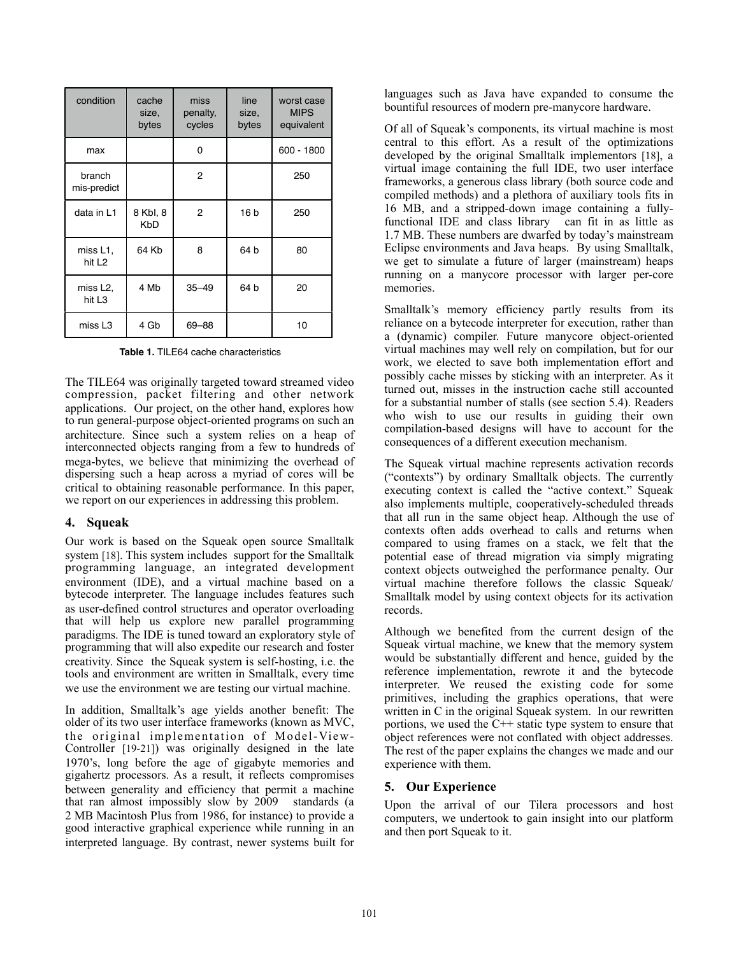| condition                                   | cache<br>size,<br>bytes | miss<br>penalty,<br>cycles | line<br>size,<br>bytes | worst case<br><b>MIPS</b><br>equivalent |
|---------------------------------------------|-------------------------|----------------------------|------------------------|-----------------------------------------|
| max                                         |                         | 0                          |                        | 600 - 1800                              |
| branch<br>mis-predict                       |                         | 2                          |                        | 250                                     |
| data in L1                                  | 8 Kbl, 8<br><b>KbD</b>  | 2                          | 16 <sub>b</sub>        | 250                                     |
| miss L1,<br>hit L <sub>2</sub>              | 64 Kb                   | 8                          | 64 b                   | 80                                      |
| miss L <sub>2</sub> ,<br>hit L <sub>3</sub> | 4 Mb                    | $35 - 49$                  | 64 b                   | 20                                      |
| miss L <sub>3</sub>                         | 4 Gb                    | 69-88                      |                        | 10                                      |

**Table 1.** TILE64 cache characteristics

The TILE64 was originally targeted toward streamed video compression, packet filtering and other network applications. Our project, on the other hand, explores how to run general-purpose object-oriented programs on such an architecture. Since such a system relies on a heap of interconnected objects ranging from a few to hundreds of mega-bytes, we believe that minimizing the overhead of dispersing such a heap across a myriad of cores will be critical to obtaining reasonable performance. In this paper, we report on our experiences in addressing this problem.

# **4. Squeak**

Our work is based on the Squeak open source Smalltalk system [18]. This system includes support for the Smalltalk programming language, an integrated development environment (IDE), and a virtual machine based on a bytecode interpreter. The language includes features such as user-defined control structures and operator overloading that will help us explore new parallel programming paradigms. The IDE is tuned toward an exploratory style of programming that will also expedite our research and foster creativity. Since the Squeak system is self-hosting, i.e. the tools and environment are written in Smalltalk, every time we use the environment we are testing our virtual machine.

In addition, Smalltalk's age yields another benefit: The older of its two user interface frameworks (known as MVC, the original implementation of Model-View-Controller [19-21]) was originally designed in the late 1970's, long before the age of gigabyte memories and gigahertz processors. As a result, it reflects compromises between generality and efficiency that permit a machine that ran almost impossibly slow by 2009 standards (a 2 MB Macintosh Plus from 1986, for instance) to provide a good interactive graphical experience while running in an interpreted language. By contrast, newer systems built for

languages such as Java have expanded to consume the bountiful resources of modern pre-manycore hardware.

Of all of Squeak's components, its virtual machine is most central to this effort. As a result of the optimizations developed by the original Smalltalk implementors [18], a virtual image containing the full IDE, two user interface frameworks, a generous class library (both source code and compiled methods) and a plethora of auxiliary tools fits in 16 MB, and a stripped-down image containing a fullyfunctional IDE and class library can fit in as little as 1.7 MB. These numbers are dwarfed by today's mainstream Eclipse environments and Java heaps. By using Smalltalk, we get to simulate a future of larger (mainstream) heaps running on a manycore processor with larger per-core memories.

Smalltalk's memory efficiency partly results from its reliance on a bytecode interpreter for execution, rather than a (dynamic) compiler. Future manycore object-oriented virtual machines may well rely on compilation, but for our work, we elected to save both implementation effort and possibly cache misses by sticking with an interpreter. As it turned out, misses in the instruction cache still accounted for a substantial number of stalls (see section 5.4). Readers who wish to use our results in guiding their own compilation-based designs will have to account for the consequences of a different execution mechanism.

The Squeak virtual machine represents activation records ("contexts") by ordinary Smalltalk objects. The currently executing context is called the "active context." Squeak also implements multiple, cooperatively-scheduled threads that all run in the same object heap. Although the use of contexts often adds overhead to calls and returns when compared to using frames on a stack, we felt that the potential ease of thread migration via simply migrating context objects outweighed the performance penalty. Our virtual machine therefore follows the classic Squeak/ Smalltalk model by using context objects for its activation records.

Although we benefited from the current design of the Squeak virtual machine, we knew that the memory system would be substantially different and hence, guided by the reference implementation, rewrote it and the bytecode interpreter. We reused the existing code for some primitives, including the graphics operations, that were written in C in the original Squeak system. In our rewritten portions, we used the C++ static type system to ensure that object references were not conflated with object addresses. The rest of the paper explains the changes we made and our experience with them.

# **5. Our Experience**

Upon the arrival of our Tilera processors and host computers, we undertook to gain insight into our platform and then port Squeak to it.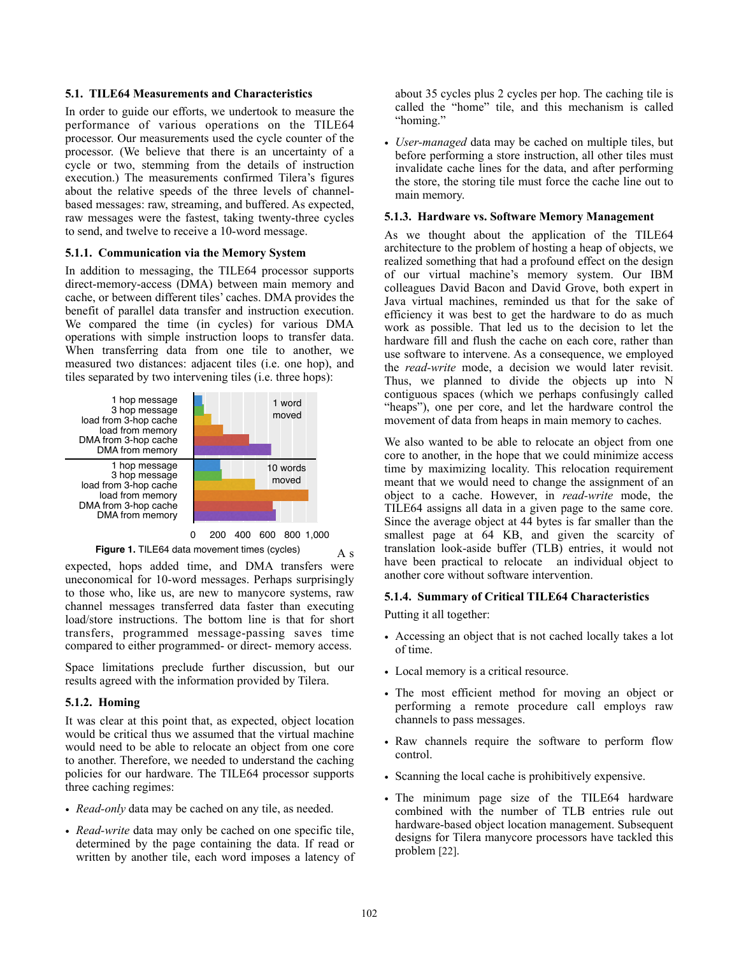#### **5.1. TILE64 Measurements and Characteristics**

In order to guide our efforts, we undertook to measure the performance of various operations on the TILE64 processor. Our measurements used the cycle counter of the processor. (We believe that there is an uncertainty of a cycle or two, stemming from the details of instruction execution.) The measurements confirmed Tilera's figures about the relative speeds of the three levels of channelbased messages: raw, streaming, and buffered. As expected, raw messages were the fastest, taking twenty-three cycles to send, and twelve to receive a 10-word message.

### **5.1.1. Communication via the Memory System**

In addition to messaging, the TILE64 processor supports direct-memory-access (DMA) between main memory and cache, or between different tiles' caches. DMA provides the benefit of parallel data transfer and instruction execution. We compared the time (in cycles) for various DMA operations with simple instruction loops to transfer data. When transferring data from one tile to another, we measured two distances: adjacent tiles (i.e. one hop), and tiles separated by two intervening tiles (i.e. three hops):





expected, hops added time, and DMA transfers were uneconomical for 10-word messages. Perhaps surprisingly to those who, like us, are new to manycore systems, raw channel messages transferred data faster than executing load/store instructions. The bottom line is that for short transfers, programmed message-passing saves time compared to either programmed- or direct- memory access.

Space limitations preclude further discussion, but our results agreed with the information provided by Tilera.

## **5.1.2. Homing**

It was clear at this point that, as expected, object location would be critical thus we assumed that the virtual machine would need to be able to relocate an object from one core to another. Therefore, we needed to understand the caching policies for our hardware. The TILE64 processor supports three caching regimes:

- *Read-only* data may be cached on any tile, as needed.
- *Read-write* data may only be cached on one specific tile, determined by the page containing the data. If read or written by another tile, each word imposes a latency of

about 35 cycles plus 2 cycles per hop. The caching tile is called the "home" tile, and this mechanism is called "homing."

• *User-managed* data may be cached on multiple tiles, but before performing a store instruction, all other tiles must invalidate cache lines for the data, and after performing the store, the storing tile must force the cache line out to main memory.

#### **5.1.3. Hardware vs. Software Memory Management**

As we thought about the application of the TILE64 architecture to the problem of hosting a heap of objects, we realized something that had a profound effect on the design of our virtual machine's memory system. Our IBM colleagues David Bacon and David Grove, both expert in Java virtual machines, reminded us that for the sake of efficiency it was best to get the hardware to do as much work as possible. That led us to the decision to let the hardware fill and flush the cache on each core, rather than use software to intervene. As a consequence, we employed the *read-write* mode, a decision we would later revisit. Thus, we planned to divide the objects up into N contiguous spaces (which we perhaps confusingly called "heaps"), one per core, and let the hardware control the movement of data from heaps in main memory to caches.

We also wanted to be able to relocate an object from one core to another, in the hope that we could minimize access time by maximizing locality. This relocation requirement meant that we would need to change the assignment of an object to a cache. However, in *read-write* mode, the TILE64 assigns all data in a given page to the same core. Since the average object at 44 bytes is far smaller than the smallest page at 64 KB, and given the scarcity of translation look-aside buffer (TLB) entries, it would not have been practical to relocate an individual object to another core without software intervention.

# **5.1.4. Summary of Critical TILE64 Characteristics**

Putting it all together:

- Accessing an object that is not cached locally takes a lot of time.
- Local memory is a critical resource.
- The most efficient method for moving an object or performing a remote procedure call employs raw channels to pass messages.
- Raw channels require the software to perform flow control.
- Scanning the local cache is prohibitively expensive.
- The minimum page size of the TILE64 hardware combined with the number of TLB entries rule out hardware-based object location management. Subsequent designs for Tilera manycore processors have tackled this problem [22].

A s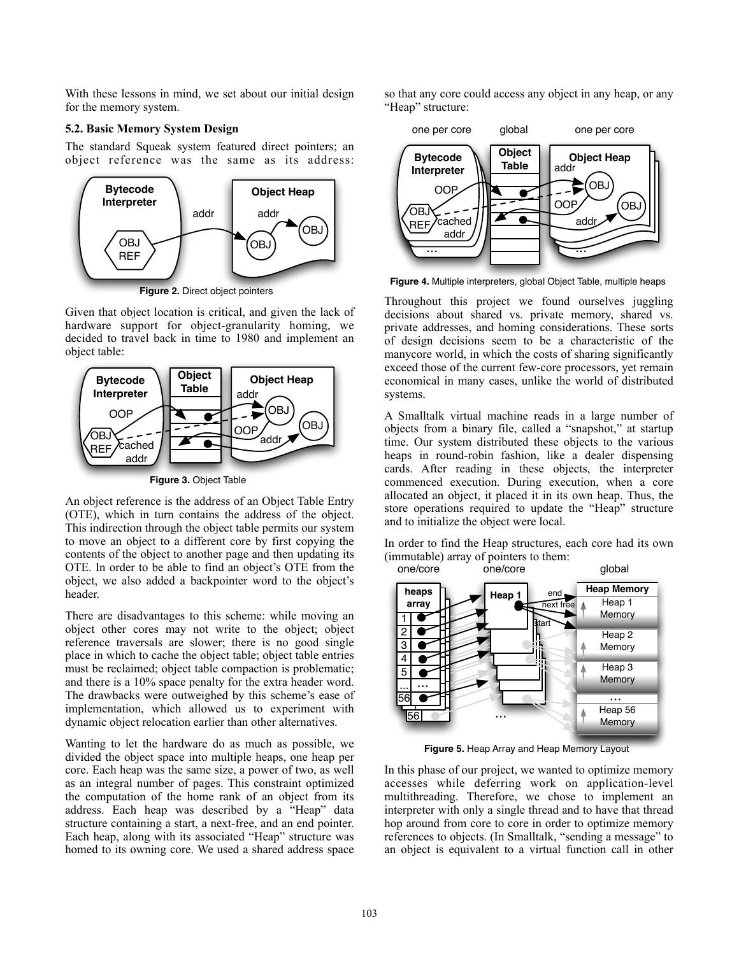With these lessons in mind, we set about our initial design for the memory system.

# **5.2. Basic Memory System Design**

The standard Squeak system featured direct pointers; an object reference was the same as its address:



**Figure 2.** Direct object pointers

Given that object location is critical, and given the lack of hardware support for object-granularity homing, we decided to travel back in time to 1980 and implement an object table:



**Figure 3.** Object Table

An object reference is the address of an Object Table Entry (OTE), which in turn contains the address of the object. This indirection through the object table permits our system to move an object to a different core by first copying the contents of the object to another page and then updating its OTE. In order to be able to find an object's OTE from the object, we also added a backpointer word to the object's header.

There are disadvantages to this scheme: while moving an object other cores may not write to the object; object reference traversals are slower; there is no good single place in which to cache the object table; object table entries must be reclaimed; object table compaction is problematic; and there is a 10% space penalty for the extra header word. The drawbacks were outweighed by this scheme's ease of implementation, which allowed us to experiment with dynamic object relocation earlier than other alternatives.

Wanting to let the hardware do as much as possible, we divided the object space into multiple heaps, one heap per core. Each heap was the same size, a power of two, as well as an integral number of pages. This constraint optimized the computation of the home rank of an object from its address. Each heap was described by a "Heap" data structure containing a start, a next-free, and an end pointer. Each heap, along with its associated "Heap" structure was homed to its owning core. We used a shared address space so that any core could access any object in any heap, or any "Heap" structure:



**Figure 4.** Multiple interpreters, global Object Table, multiple heaps

Throughout this project we found ourselves juggling decisions about shared vs. private memory, shared vs. private addresses, and homing considerations. These sorts of design decisions seem to be a characteristic of the manycore world, in which the costs of sharing significantly exceed those of the current few-core processors, yet remain economical in many cases, unlike the world of distributed systems.

A Smalltalk virtual machine reads in a large number of objects from a binary file, called a "snapshot," at startup time. Our system distributed these objects to the various heaps in round-robin fashion, like a dealer dispensing cards. After reading in these objects, the interpreter commenced execution. During execution, when a core allocated an object, it placed it in its own heap. Thus, the store operations required to update the "Heap" structure and to initialize the object were local.

In order to find the Heap structures, each core had its own (immutable) array of pointers to them:



**Figure 5.** Heap Array and Heap Memory Layout

In this phase of our project, we wanted to optimize memory accesses while deferring work on application-level multithreading. Therefore, we chose to implement an interpreter with only a single thread and to have that thread hop around from core to core in order to optimize memory references to objects. (In Smalltalk, "sending a message" to an object is equivalent to a virtual function call in other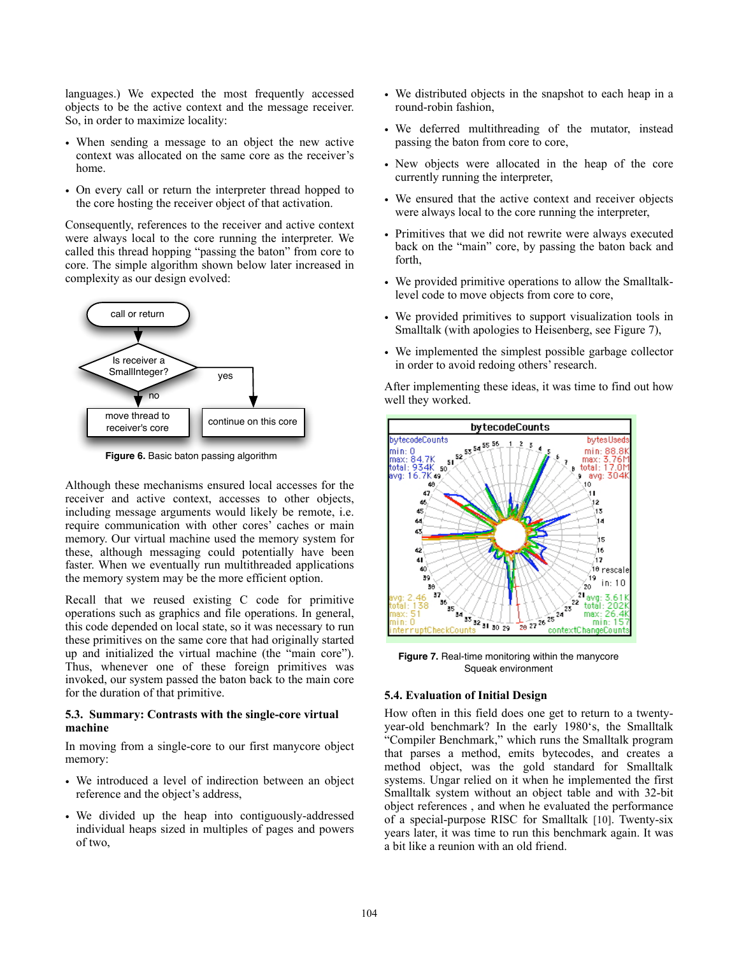languages.) We expected the most frequently accessed objects to be the active context and the message receiver. So, in order to maximize locality:

- When sending a message to an object the new active context was allocated on the same core as the receiver's home.
- On every call or return the interpreter thread hopped to the core hosting the receiver object of that activation.

Consequently, references to the receiver and active context were always local to the core running the interpreter. We called this thread hopping "passing the baton" from core to core. The simple algorithm shown below later increased in complexity as our design evolved:



**Figure 6.** Basic baton passing algorithm

Although these mechanisms ensured local accesses for the receiver and active context, accesses to other objects, including message arguments would likely be remote, i.e. require communication with other cores' caches or main memory. Our virtual machine used the memory system for these, although messaging could potentially have been faster. When we eventually run multithreaded applications the memory system may be the more efficient option.

Recall that we reused existing C code for primitive operations such as graphics and file operations. In general, this code depended on local state, so it was necessary to run these primitives on the same core that had originally started up and initialized the virtual machine (the "main core"). Thus, whenever one of these foreign primitives was invoked, our system passed the baton back to the main core for the duration of that primitive.

#### **5.3. Summary: Contrasts with the single-core virtual machine**

In moving from a single-core to our first manycore object memory:

- We introduced a level of indirection between an object reference and the object's address,
- We divided up the heap into contiguously-addressed individual heaps sized in multiples of pages and powers of two,
- We distributed objects in the snapshot to each heap in a round-robin fashion,
- We deferred multithreading of the mutator, instead passing the baton from core to core,
- New objects were allocated in the heap of the core currently running the interpreter,
- We ensured that the active context and receiver objects were always local to the core running the interpreter,
- Primitives that we did not rewrite were always executed back on the "main" core, by passing the baton back and forth,
- We provided primitive operations to allow the Smalltalklevel code to move objects from core to core,
- We provided primitives to support visualization tools in Smalltalk (with apologies to Heisenberg, see Figure 7),
- We implemented the simplest possible garbage collector in order to avoid redoing others' research.

After implementing these ideas, it was time to find out how well they worked.



**Figure 7.** Real-time monitoring within the manycore Squeak environment

#### **5.4. Evaluation of Initial Design**

How often in this field does one get to return to a twentyyear-old benchmark? In the early 1980's, the Smalltalk "Compiler Benchmark," which runs the Smalltalk program that parses a method, emits bytecodes, and creates a method object, was the gold standard for Smalltalk systems. Ungar relied on it when he implemented the first Smalltalk system without an object table and with 32-bit object references , and when he evaluated the performance of a special-purpose RISC for Smalltalk [10]. Twenty-six years later, it was time to run this benchmark again. It was a bit like a reunion with an old friend.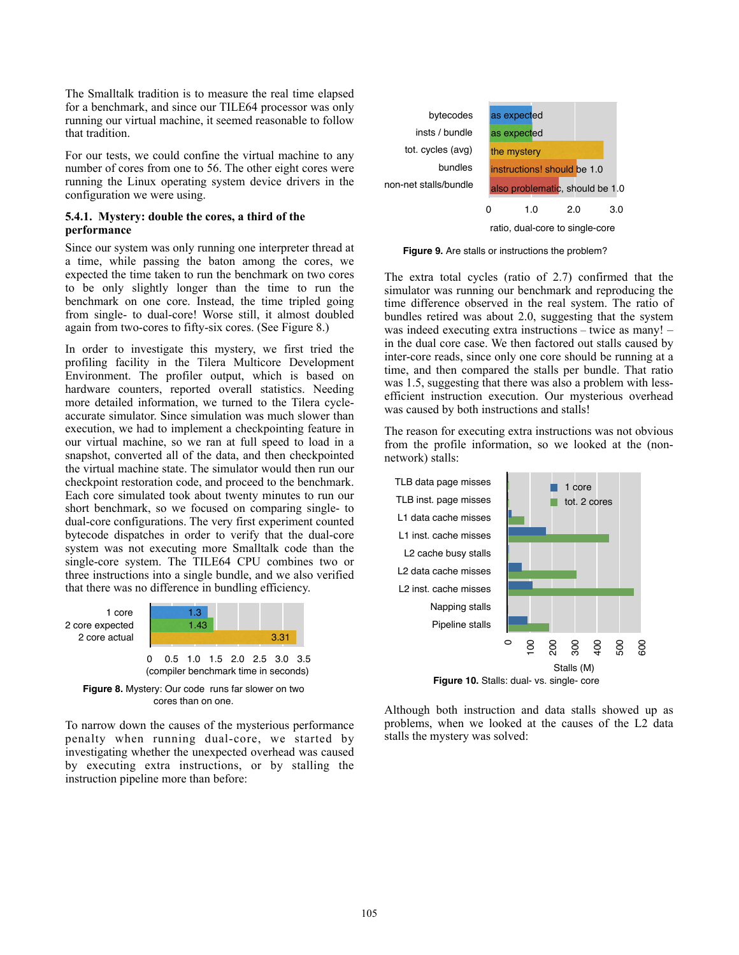The Smalltalk tradition is to measure the real time elapsed for a benchmark, and since our TILE64 processor was only running our virtual machine, it seemed reasonable to follow that tradition.

For our tests, we could confine the virtual machine to any number of cores from one to 56. The other eight cores were running the Linux operating system device drivers in the configuration we were using.

# **5.4.1. Mystery: double the cores, a third of the performance**

Since our system was only running one interpreter thread at a time, while passing the baton among the cores, we expected the time taken to run the benchmark on two cores to be only slightly longer than the time to run the benchmark on one core. Instead, the time tripled going from single- to dual-core! Worse still, it almost doubled again from two-cores to fifty-six cores. (See Figure 8.)

In order to investigate this mystery, we first tried the profiling facility in the Tilera Multicore Development Environment. The profiler output, which is based on hardware counters, reported overall statistics. Needing more detailed information, we turned to the Tilera cycleaccurate simulator. Since simulation was much slower than execution, we had to implement a checkpointing feature in our virtual machine, so we ran at full speed to load in a snapshot, converted all of the data, and then checkpointed the virtual machine state. The simulator would then run our checkpoint restoration code, and proceed to the benchmark. Each core simulated took about twenty minutes to run our short benchmark, so we focused on comparing single- to dual-core configurations. The very first experiment counted bytecode dispatches in order to verify that the dual-core system was not executing more Smalltalk code than the single-core system. The TILE64 CPU combines two or three instructions into a single bundle, and we also verified that there was no difference in bundling efficiency.



**Figure 8.** Mystery: Our code runs far slower on two cores than on one.

To narrow down the causes of the mysterious performance penalty when running dual-core, we started by investigating whether the unexpected overhead was caused by executing extra instructions, or by stalling the instruction pipeline more than before:



**Figure 9.** Are stalls or instructions the problem?

The extra total cycles (ratio of 2.7) confirmed that the simulator was running our benchmark and reproducing the time difference observed in the real system. The ratio of bundles retired was about 2.0, suggesting that the system was indeed executing extra instructions – twice as many! – in the dual core case. We then factored out stalls caused by inter-core reads, since only one core should be running at a time, and then compared the stalls per bundle. That ratio was 1.5, suggesting that there was also a problem with lessefficient instruction execution. Our mysterious overhead was caused by both instructions and stalls!

The reason for executing extra instructions was not obvious from the profile information, so we looked at the (nonnetwork) stalls:



Although both instruction and data stalls showed up as problems, when we looked at the causes of the L2 data stalls the mystery was solved: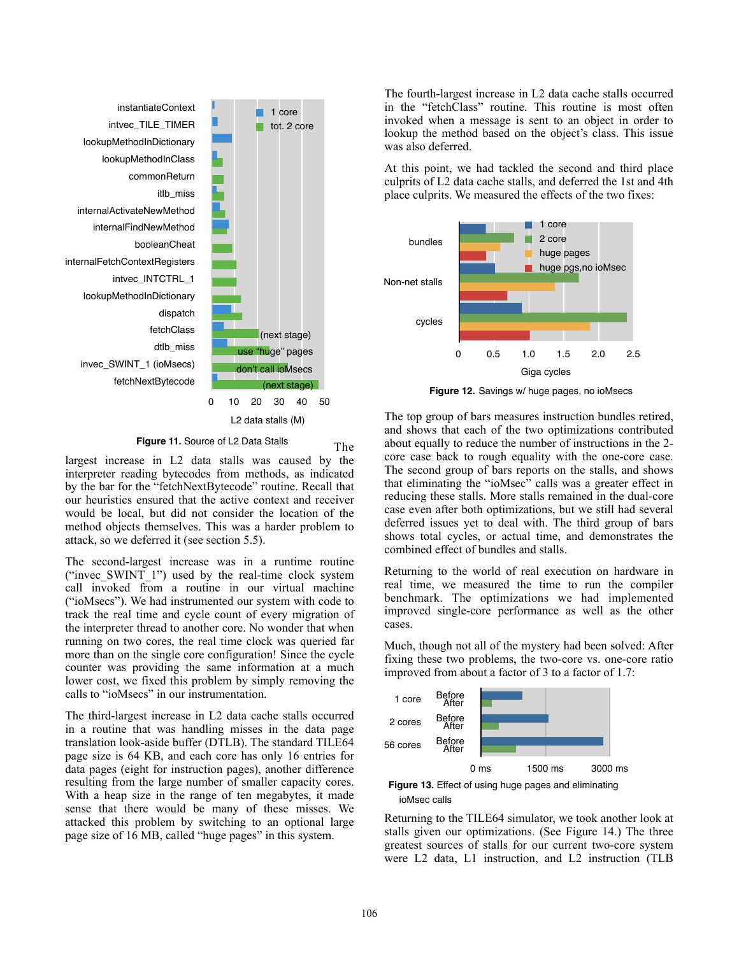

#### **Figure 11.** Source of L2 Data Stalls

largest increase in L2 data stalls was caused by the interpreter reading bytecodes from methods, as indicated by the bar for the "fetchNextBytecode" routine. Recall that our heuristics ensured that the active context and receiver would be local, but did not consider the location of the method objects themselves. This was a harder problem to attack, so we deferred it (see section 5.5).

The second-largest increase was in a runtime routine ("invec\_SWINT\_1") used by the real-time clock system call invoked from a routine in our virtual machine ("ioMsecs"). We had instrumented our system with code to track the real time and cycle count of every migration of the interpreter thread to another core. No wonder that when running on two cores, the real time clock was queried far more than on the single core configuration! Since the cycle counter was providing the same information at a much lower cost, we fixed this problem by simply removing the calls to "ioMsecs" in our instrumentation.

The third-largest increase in L2 data cache stalls occurred in a routine that was handling misses in the data page translation look-aside buffer (DTLB). The standard TILE64 page size is 64 KB, and each core has only 16 entries for data pages (eight for instruction pages), another difference resulting from the large number of smaller capacity cores. With a heap size in the range of ten megabytes, it made sense that there would be many of these misses. We attacked this problem by switching to an optional large page size of 16 MB, called "huge pages" in this system.

The fourth-largest increase in L2 data cache stalls occurred in the "fetchClass" routine. This routine is most often invoked when a message is sent to an object in order to lookup the method based on the object's class. This issue was also deferred.

At this point, we had tackled the second and third place culprits of L2 data cache stalls, and deferred the 1st and 4th place culprits. We measured the effects of the two fixes:



**Figure 12.** Savings w/ huge pages, no ioMsecs

The top group of bars measures instruction bundles retired, and shows that each of the two optimizations contributed about equally to reduce the number of instructions in the 2 core case back to rough equality with the one-core case. The second group of bars reports on the stalls, and shows that eliminating the "ioMsec" calls was a greater effect in reducing these stalls. More stalls remained in the dual-core case even after both optimizations, but we still had several deferred issues yet to deal with. The third group of bars shows total cycles, or actual time, and demonstrates the combined effect of bundles and stalls.

Returning to the world of real execution on hardware in real time, we measured the time to run the compiler benchmark. The optimizations we had implemented improved single-core performance as well as the other cases.

Much, though not all of the mystery had been solved: After fixing these two problems, the two-core vs. one-core ratio improved from about a factor of 3 to a factor of 1.7:



**Figure 13.** Effect of using huge pages and eliminating ioMsec calls

Returning to the TILE64 simulator, we took another look at stalls given our optimizations. (See Figure 14.) The three greatest sources of stalls for our current two-core system were L2 data, L1 instruction, and L2 instruction (TLB

The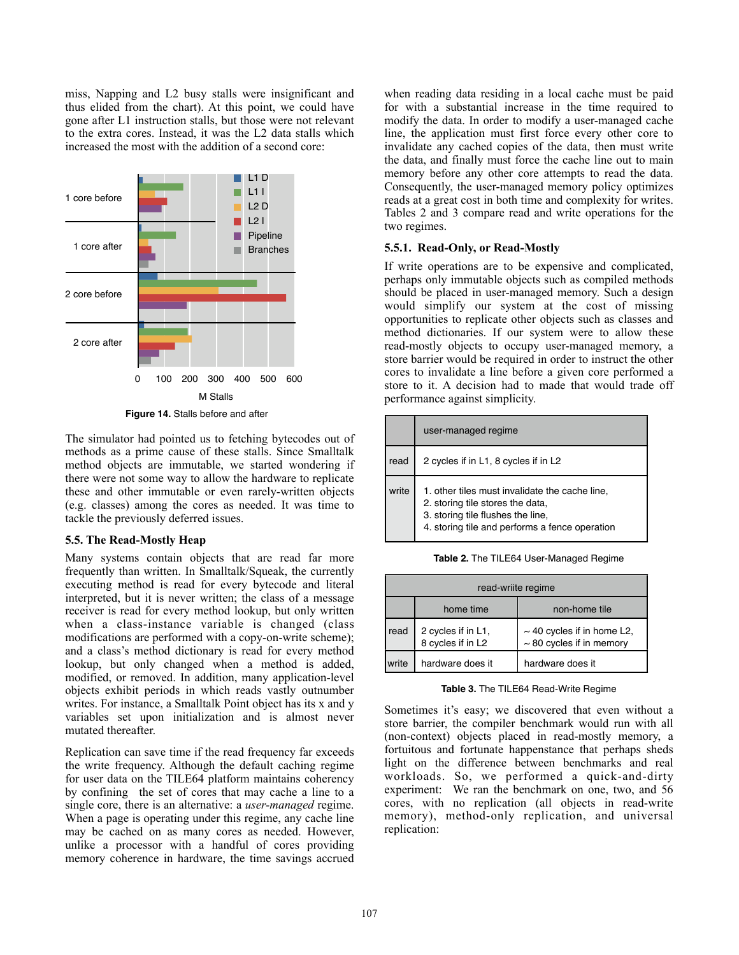miss, Napping and L2 busy stalls were insignificant and thus elided from the chart). At this point, we could have gone after L1 instruction stalls, but those were not relevant to the extra cores. Instead, it was the L2 data stalls which increased the most with the addition of a second core:



The simulator had pointed us to fetching bytecodes out of methods as a prime cause of these stalls. Since Smalltalk method objects are immutable, we started wondering if there were not some way to allow the hardware to replicate these and other immutable or even rarely-written objects (e.g. classes) among the cores as needed. It was time to tackle the previously deferred issues.

## **5.5. The Read-Mostly Heap**

Many systems contain objects that are read far more frequently than written. In Smalltalk/Squeak, the currently executing method is read for every bytecode and literal interpreted, but it is never written; the class of a message receiver is read for every method lookup, but only written when a class-instance variable is changed (class modifications are performed with a copy-on-write scheme); and a class's method dictionary is read for every method lookup, but only changed when a method is added, modified, or removed. In addition, many application-level objects exhibit periods in which reads vastly outnumber writes. For instance, a Smalltalk Point object has its x and y variables set upon initialization and is almost never mutated thereafter.

Replication can save time if the read frequency far exceeds the write frequency. Although the default caching regime for user data on the TILE64 platform maintains coherency by confining the set of cores that may cache a line to a single core, there is an alternative: a *user-managed* regime. When a page is operating under this regime, any cache line may be cached on as many cores as needed. However, unlike a processor with a handful of cores providing memory coherence in hardware, the time savings accrued

when reading data residing in a local cache must be paid for with a substantial increase in the time required to modify the data. In order to modify a user-managed cache line, the application must first force every other core to invalidate any cached copies of the data, then must write the data, and finally must force the cache line out to main memory before any other core attempts to read the data. Consequently, the user-managed memory policy optimizes reads at a great cost in both time and complexity for writes. Tables 2 and 3 compare read and write operations for the two regimes.

## **5.5.1. Read-Only, or Read-Mostly**

If write operations are to be expensive and complicated, perhaps only immutable objects such as compiled methods should be placed in user-managed memory. Such a design would simplify our system at the cost of missing opportunities to replicate other objects such as classes and method dictionaries. If our system were to allow these read-mostly objects to occupy user-managed memory, a store barrier would be required in order to instruct the other cores to invalidate a line before a given core performed a store to it. A decision had to made that would trade off performance against simplicity.

|       | user-managed regime                                                                                                                                                       |
|-------|---------------------------------------------------------------------------------------------------------------------------------------------------------------------------|
| read  | 2 cycles if in L1, 8 cycles if in L2                                                                                                                                      |
| write | 1. other tiles must invalidate the cache line,<br>2. storing tile stores the data,<br>3. storing tile flushes the line,<br>4. storing tile and performs a fence operation |

**Table 2.** The TILE64 User-Managed Regime

| read-wriite regime |                                         |                                                                  |  |  |
|--------------------|-----------------------------------------|------------------------------------------------------------------|--|--|
|                    | home time                               | non-home tile                                                    |  |  |
| read               | 2 cycles if in L1,<br>8 cycles if in L2 | $\sim$ 40 cycles if in home L2,<br>$\sim$ 80 cycles if in memory |  |  |
|                    | hardware does it                        | hardware does it                                                 |  |  |

**Table 3.** The TILE64 Read-Write Regime

Sometimes it's easy; we discovered that even without a store barrier, the compiler benchmark would run with all (non-context) objects placed in read-mostly memory, a fortuitous and fortunate happenstance that perhaps sheds light on the difference between benchmarks and real workloads. So, we performed a quick-and-dirty experiment: We ran the benchmark on one, two, and 56 cores, with no replication (all objects in read-write memory), method-only replication, and universal replication: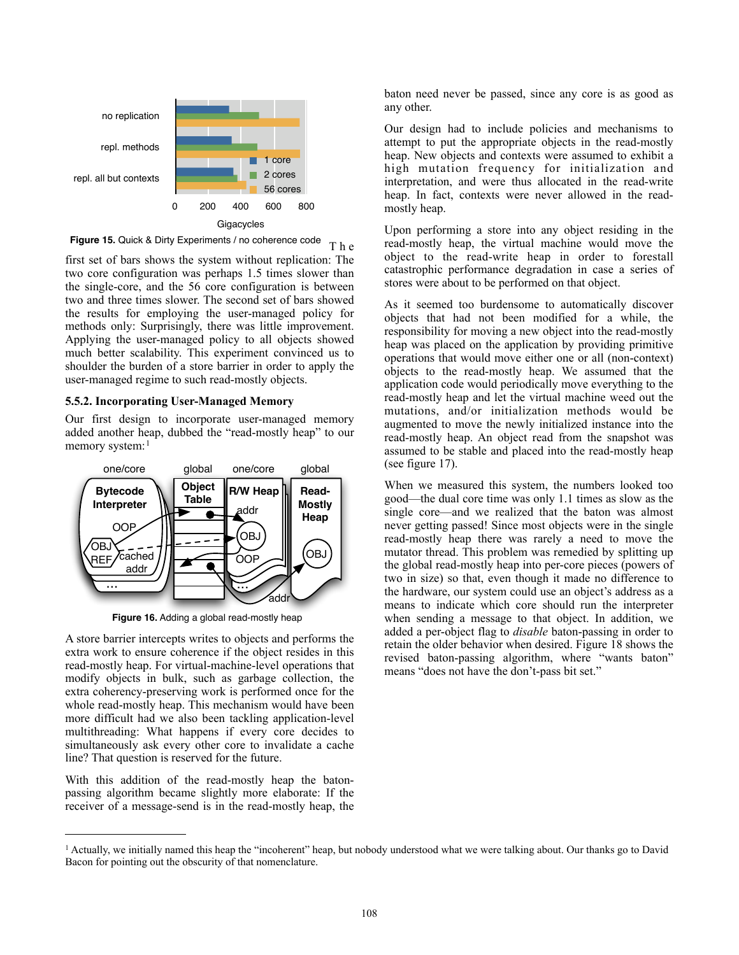

**Figure 15.** Quick & Dirty Experiments / no coherence code T h e

first set of bars shows the system without replication: The two core configuration was perhaps 1.5 times slower than the single-core, and the 56 core configuration is between two and three times slower. The second set of bars showed the results for employing the user-managed policy for methods only: Surprisingly, there was little improvement. Applying the user-managed policy to all objects showed much better scalability. This experiment convinced us to shoulder the burden of a store barrier in order to apply the user-managed regime to such read-mostly objects.

## **5.5.2. Incorporating User-Managed Memory**

Our first design to incorporate user-managed memory added another heap, dubbed the "read-mostly heap" to our memory system:<sup>[1](#page-9-0)</sup>



**Figure 16.** Adding a global read-mostly heap

A store barrier intercepts writes to objects and performs the extra work to ensure coherence if the object resides in this read-mostly heap. For virtual-machine-level operations that modify objects in bulk, such as garbage collection, the extra coherency-preserving work is performed once for the whole read-mostly heap. This mechanism would have been more difficult had we also been tackling application-level multithreading: What happens if every core decides to simultaneously ask every other core to invalidate a cache line? That question is reserved for the future.

With this addition of the read-mostly heap the batonpassing algorithm became slightly more elaborate: If the receiver of a message-send is in the read-mostly heap, the

baton need never be passed, since any core is as good as any other.

Our design had to include policies and mechanisms to attempt to put the appropriate objects in the read-mostly heap. New objects and contexts were assumed to exhibit a high mutation frequency for initialization and interpretation, and were thus allocated in the read-write heap. In fact, contexts were never allowed in the readmostly heap.

Upon performing a store into any object residing in the read-mostly heap, the virtual machine would move the object to the read-write heap in order to forestall catastrophic performance degradation in case a series of stores were about to be performed on that object.

As it seemed too burdensome to automatically discover objects that had not been modified for a while, the responsibility for moving a new object into the read-mostly heap was placed on the application by providing primitive operations that would move either one or all (non-context) objects to the read-mostly heap. We assumed that the application code would periodically move everything to the read-mostly heap and let the virtual machine weed out the mutations, and/or initialization methods would be augmented to move the newly initialized instance into the read-mostly heap. An object read from the snapshot was assumed to be stable and placed into the read-mostly heap (see figure 17).

When we measured this system, the numbers looked too good—the dual core time was only 1.1 times as slow as the single core—and we realized that the baton was almost never getting passed! Since most objects were in the single read-mostly heap there was rarely a need to move the mutator thread. This problem was remedied by splitting up the global read-mostly heap into per-core pieces (powers of two in size) so that, even though it made no difference to the hardware, our system could use an object's address as a means to indicate which core should run the interpreter when sending a message to that object. In addition, we added a per-object flag to *disable* baton-passing in order to retain the older behavior when desired. Figure 18 shows the revised baton-passing algorithm, where "wants baton" means "does not have the don't-pass bit set."

<span id="page-9-0"></span><sup>&</sup>lt;sup>1</sup> Actually, we initially named this heap the "incoherent" heap, but nobody understood what we were talking about. Our thanks go to David Bacon for pointing out the obscurity of that nomenclature.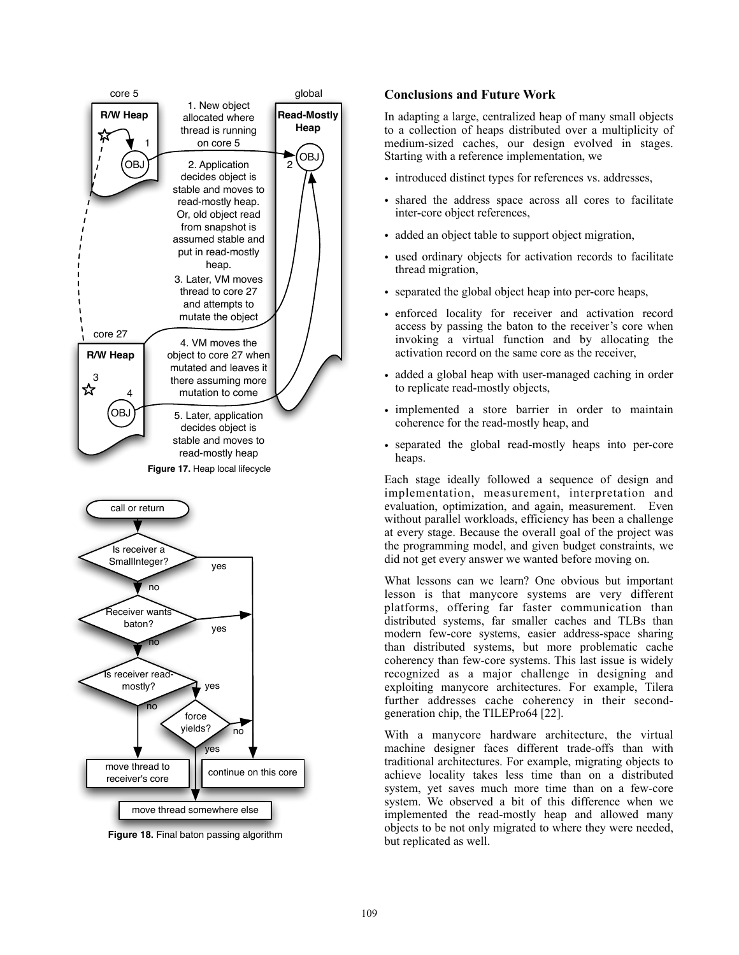

**Figure 18.** Final baton passing algorithm

## **Conclusions and Future Work**

In adapting a large, centralized heap of many small objects to a collection of heaps distributed over a multiplicity of medium-sized caches, our design evolved in stages. Starting with a reference implementation, we

- introduced distinct types for references vs. addresses,
- shared the address space across all cores to facilitate inter-core object references,
- added an object table to support object migration,
- used ordinary objects for activation records to facilitate thread migration,
- separated the global object heap into per-core heaps,
- enforced locality for receiver and activation record access by passing the baton to the receiver's core when invoking a virtual function and by allocating the activation record on the same core as the receiver,
- added a global heap with user-managed caching in order to replicate read-mostly objects,
- implemented a store barrier in order to maintain coherence for the read-mostly heap, and
- separated the global read-mostly heaps into per-core heaps.

Each stage ideally followed a sequence of design and implementation, measurement, interpretation and evaluation, optimization, and again, measurement. Even without parallel workloads, efficiency has been a challenge at every stage. Because the overall goal of the project was the programming model, and given budget constraints, we did not get every answer we wanted before moving on.

What lessons can we learn? One obvious but important lesson is that manycore systems are very different platforms, offering far faster communication than distributed systems, far smaller caches and TLBs than modern few-core systems, easier address-space sharing than distributed systems, but more problematic cache coherency than few-core systems. This last issue is widely recognized as a major challenge in designing and exploiting manycore architectures. For example, Tilera further addresses cache coherency in their secondgeneration chip, the TILEPro64 [22].

With a manycore hardware architecture, the virtual machine designer faces different trade-offs than with traditional architectures. For example, migrating objects to achieve locality takes less time than on a distributed system, yet saves much more time than on a few-core system. We observed a bit of this difference when we implemented the read-mostly heap and allowed many objects to be not only migrated to where they were needed, but replicated as well.